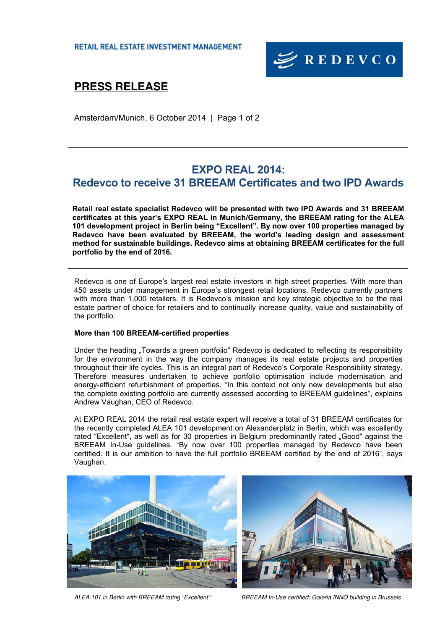

# **PRESS RELEASE**

Amsterdam/Munich, 6 October 2014 | Page 1 of 2

## **EXPO REAL 2014: Redevco to receive 31 BREEAM Certificates and two IPD Awards**

**Retail real estate specialist Redevco will be presented with two IPD Awards and 31 BREEAM certificates at this year's EXPO REAL in Munich/Germany, the BREEAM rating for the ALEA 101 development project in Berlin being "Excellent". By now over 100 properties managed by Redevco have been evaluated by BREEAM, the world's leading design and assessment method for sustainable buildings. Redevco aims at obtaining BREEAM certificates for the full portfolio by the end of 2016.** 

Redevco is one of Europe's largest real estate investors in high street properties. With more than 450 assets under management in Europe's strongest retail locations, Redevco currently partners with more than 1,000 retailers. It is Redevco's mission and key strategic objective to be the real estate partner of choice for retailers and to continually increase quality, value and sustainability of the portfolio.

### **More than 100 BREEAM-certified properties**

Under the heading "Towards a green portfolio" Redevco is dedicated to reflecting its responsibility for the environment in the way the company manages its real estate projects and properties throughout their life cycles. This is an integral part of Redevco's Corporate Responsibility strategy. Therefore measures undertaken to achieve portfolio optimisation include modernisation and energy-efficient refurbishment of properties. "In this context not only new developments but also the complete existing portfolio are currently assessed according to BREEAM guidelines", explains Andrew Vaughan, CEO of Redevco.

At EXPO REAL 2014 the retail real estate expert will receive a total of 31 BREEAM certificates for the recently completed ALEA 101 development on Alexanderplatz in Berlin, which was excellently rated "Excellent", as well as for 30 properties in Belgium predominantly rated "Good" against the BREEAM In-Use guidelines. "By now over 100 properties managed by Redevco have been certified. It is our ambition to have the full portfolio BREEAM certified by the end of 2016", says Vaughan.





ALEA 101 in Berlin with BREEAM rating "Excellent" BREEAM In-Use certified: Galeria INNO building in Brussels